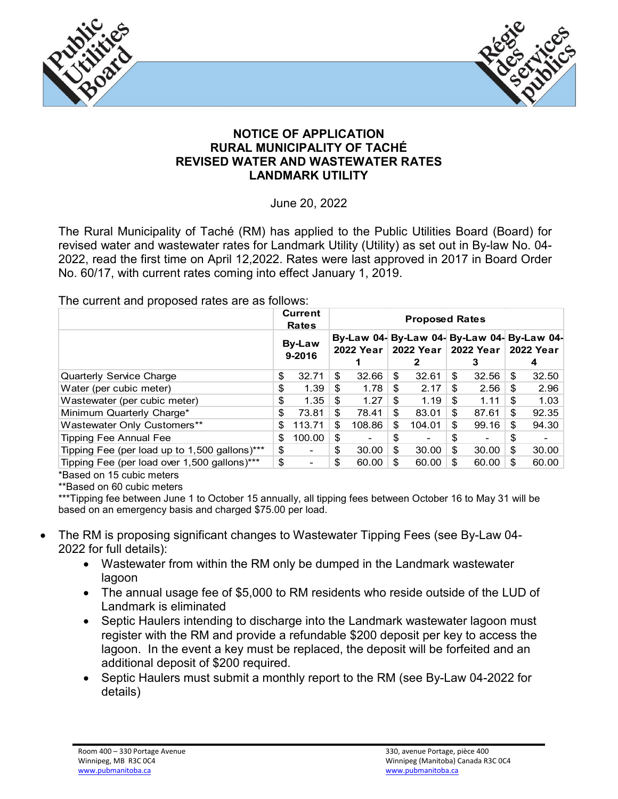



## **NOTICE OF APPLICATION RURAL MUNICIPALITY OF TACHÉ REVISED WATER AND WASTEWATER RATES LANDMARK UTILITY**

June 20, 2022

The Rural Municipality of Taché (RM) has applied to the Public Utilities Board (Board) for revised water and wastewater rates for Landmark Utility (Utility) as set out in By-law No. 04- 2022, read the first time on April 12,2022. Rates were last approved in 2017 in Board Order No. 60/17, with current rates coming into effect January 1, 2019.

## The current and proposed rates are as follows:

|                                               |                         | <b>Current</b><br><b>Rates</b> | <b>Proposed Rates</b> |        |    |        |                       |       |                                                          |       |
|-----------------------------------------------|-------------------------|--------------------------------|-----------------------|--------|----|--------|-----------------------|-------|----------------------------------------------------------|-------|
|                                               | <b>By-Law</b><br>9-2016 |                                | 2022 Year             |        |    |        | 2022 Year   2022 Year |       | By-Law 04- By-Law 04- By-Law 04- By-Law 04-<br>2022 Year |       |
|                                               |                         |                                |                       |        |    |        |                       | З     |                                                          |       |
| Quarterly Service Charge                      | \$                      | 32.71                          | S                     | 32.66  | \$ | 32.61  | \$                    | 32.56 | S                                                        | 32.50 |
| Water (per cubic meter)                       | \$                      | 1.39                           | \$                    | 1.78   | \$ | 2.17   | \$                    | 2.56  | \$                                                       | 2.96  |
| Wastewater (per cubic meter)                  | \$                      | 1.35                           | \$                    | 1.27   | \$ | 1.19   | \$                    | 1.11  | \$                                                       | 1.03  |
| Minimum Quarterly Charge*                     | \$                      | 73.81                          | \$                    | 78.41  | \$ | 83.01  | \$                    | 87.61 | \$                                                       | 92.35 |
| Wastewater Only Customers**                   | \$.                     | 113.71                         | \$                    | 108.86 | \$ | 104.01 | \$                    | 99.16 | \$                                                       | 94.30 |
| <b>Tipping Fee Annual Fee</b>                 | S                       | 100.00                         | \$                    | -      | \$ |        | \$                    |       | S                                                        |       |
| Tipping Fee (per load up to 1,500 gallons)*** | \$                      |                                | \$                    | 30.00  | \$ | 30.00  | \$                    | 30.00 | \$                                                       | 30.00 |
| Tipping Fee (per load over 1,500 gallons)***  | \$                      |                                | \$                    | 60.00  | \$ | 60.00  | \$                    | 60.00 | S                                                        | 60.00 |

\*Based on 15 cubic meters

\*\*Based on 60 cubic meters

\*\*\*Tipping fee between June 1 to October 15 annually, all tipping fees between October 16 to May 31 will be based on an emergency basis and charged \$75.00 per load.

- The RM is proposing significant changes to Wastewater Tipping Fees (see By-Law 04- 2022 for full details):
	- Wastewater from within the RM only be dumped in the Landmark wastewater lagoon
	- The annual usage fee of \$5,000 to RM residents who reside outside of the LUD of Landmark is eliminated
	- Septic Haulers intending to discharge into the Landmark wastewater lagoon must register with the RM and provide a refundable \$200 deposit per key to access the lagoon. In the event a key must be replaced, the deposit will be forfeited and an additional deposit of \$200 required.
	- Septic Haulers must submit a monthly report to the RM (see By-Law 04-2022 for details)